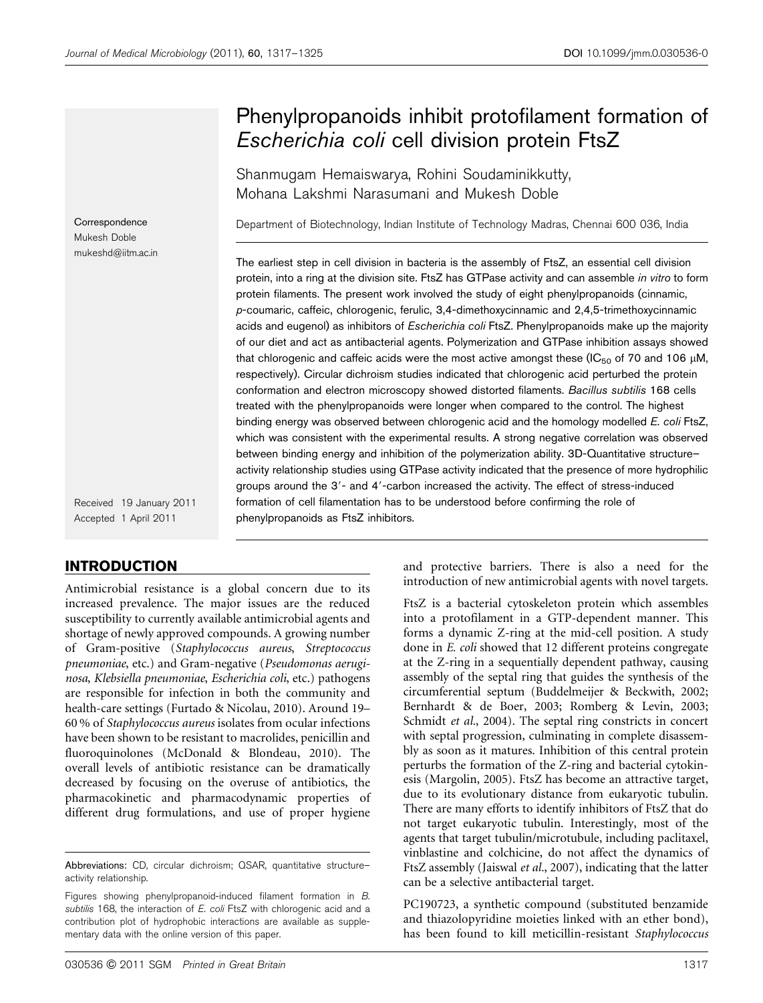# Phenylpropanoids inhibit protofilament formation of Escherichia coli cell division protein FtsZ

Shanmugam Hemaiswarya, Rohini Soudaminikkutty, Mohana Lakshmi Narasumani and Mukesh Doble

Department of Biotechnology, Indian Institute of Technology Madras, Chennai 600 036, India

The earliest step in cell division in bacteria is the assembly of FtsZ, an essential cell division protein, into a ring at the division site. FtsZ has GTPase activity and can assemble in vitro to form protein filaments. The present work involved the study of eight phenylpropanoids (cinnamic, p-coumaric, caffeic, chlorogenic, ferulic, 3,4-dimethoxycinnamic and 2,4,5-trimethoxycinnamic acids and eugenol) as inhibitors of Escherichia coli FtsZ. Phenylpropanoids make up the majority of our diet and act as antibacterial agents. Polymerization and GTPase inhibition assays showed that chlorogenic and caffeic acids were the most active amongst these (IC<sub>50</sub> of 70 and 106  $\mu$ M, respectively). Circular dichroism studies indicated that chlorogenic acid perturbed the protein conformation and electron microscopy showed distorted filaments. Bacillus subtilis 168 cells treated with the phenylpropanoids were longer when compared to the control. The highest binding energy was observed between chlorogenic acid and the homology modelled E. coli FtsZ, which was consistent with the experimental results. A strong negative correlation was observed between binding energy and inhibition of the polymerization ability. 3D-Quantitative structure– activity relationship studies using GTPase activity indicated that the presence of more hydrophilic groups around the 3'- and 4'-carbon increased the activity. The effect of stress-induced formation of cell filamentation has to be understood before confirming the role of phenylpropanoids as FtsZ inhibitors.

Received 19 January 2011 Accepted 1 April 2011

# INTRODUCTION

Correspondence Mukesh Doble mukeshd@iitm.ac.in

Antimicrobial resistance is a global concern due to its increased prevalence. The major issues are the reduced susceptibility to currently available antimicrobial agents and shortage of newly approved compounds. A growing number of Gram-positive (Staphylococcus aureus, Streptococcus pneumoniae, etc.) and Gram-negative (Pseudomonas aeruginosa, Klebsiella pneumoniae, Escherichia coli, etc.) pathogens are responsible for infection in both the community and health-care settings [\(Furtado & Nicolau, 2010](#page-7-0)). Around 19– 60 % of Staphylococcus aureus isolates from ocular infections have been shown to be resistant to macrolides, penicillin and fluoroquinolones [\(McDonald & Blondeau, 2010](#page-7-0)). The overall levels of antibiotic resistance can be dramatically decreased by focusing on the overuse of antibiotics, the pharmacokinetic and pharmacodynamic properties of different drug formulations, and use of proper hygiene and protective barriers. There is also a need for the introduction of new antimicrobial agents with novel targets.

PC190723, a synthetic compound (substituted benzamide and thiazolopyridine moieties linked with an ether bond), has been found to kill meticillin-resistant Staphylococcus

Abbreviations: CD, circular dichroism; QSAR, quantitative structure– activity relationship.

Figures showing phenylpropanoid-induced filament formation in B. subtilis 168, the interaction of E. coli FtsZ with chlorogenic acid and a contribution plot of hydrophobic interactions are available as supplementary data with the online version of this paper.

FtsZ is a bacterial cytoskeleton protein which assembles into a protofilament in a GTP-dependent manner. This forms a dynamic Z-ring at the mid-cell position. A study done in E. coli showed that 12 different proteins congregate at the Z-ring in a sequentially dependent pathway, causing assembly of the septal ring that guides the synthesis of the circumferential septum [\(Buddelmeijer & Beckwith, 2002;](#page-7-0) [Bernhardt & de Boer, 2003](#page-7-0); [Romberg & Levin, 2003;](#page-7-0) [Schmidt](#page-8-0) et al., 2004). The septal ring constricts in concert with septal progression, culminating in complete disassembly as soon as it matures. Inhibition of this central protein perturbs the formation of the Z-ring and bacterial cytokinesis [\(Margolin, 2005](#page-7-0)). FtsZ has become an attractive target, due to its evolutionary distance from eukaryotic tubulin. There are many efforts to identify inhibitors of FtsZ that do not target eukaryotic tubulin. Interestingly, most of the agents that target tubulin/microtubule, including paclitaxel, vinblastine and colchicine, do not affect the dynamics of FtsZ assembly [\(Jaiswal](#page-7-0) et al., 2007), indicating that the latter can be a selective antibacterial target.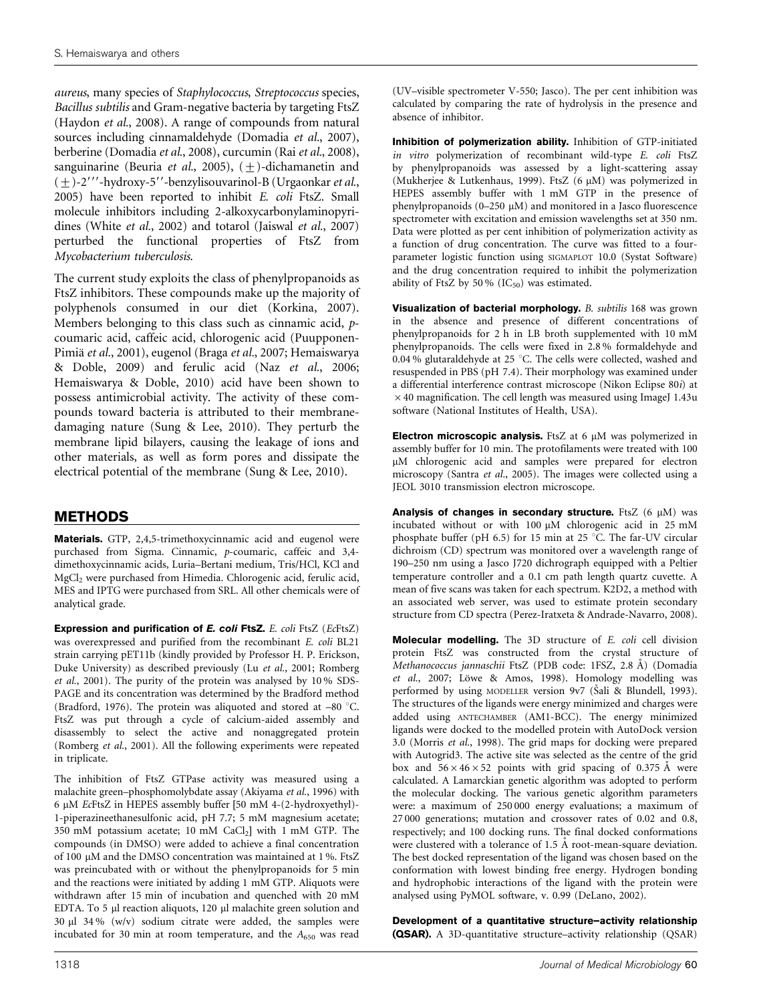aureus, many species of Staphylococcus, Streptococcus species, Bacillus subtilis and Gram-negative bacteria by targeting FtsZ [\(Haydon](#page-7-0) et al., 2008). A range of compounds from natural sources including cinnamaldehyde ([Domadia](#page-7-0) et al., 2007), berberine [\(Domadia](#page-7-0) et al., 2008), curcumin (Rai et al.[, 2008](#page-7-0)), sanguinarine ([Beuria](#page-7-0) et al., 2005),  $(\pm)$ -dichamanetin and  $(+)$ -2 $''$ -hydroxy-5 $''$ -benzylisouvarinol-B ([Urgaonkar](#page-8-0) *et al.*, [2005](#page-8-0)) have been reported to inhibit E. coli FtsZ. Small molecule inhibitors including 2-alkoxycarbonylaminopyridines [\(White](#page-8-0) et al., 2002) and totarol ([Jaiswal](#page-7-0) et al., 2007) perturbed the functional properties of FtsZ from Mycobacterium tuberculosis.

The current study exploits the class of phenylpropanoids as FtsZ inhibitors. These compounds make up the majority of polyphenols consumed in our diet ([Korkina, 2007](#page-7-0)). Members belonging to this class such as cinnamic acid, pcoumaric acid, caffeic acid, chlorogenic acid [\(Puupponen-](#page-7-0)Pimiä et al.[, 2001\)](#page-7-0), eugenol (Braga et al.[, 2007](#page-7-0); [Hemaiswarya](#page-7-0) [& Doble, 2009](#page-7-0)) and ferulic acid (Naz et al.[, 2006](#page-7-0); [Hemaiswarya & Doble, 2010\)](#page-7-0) acid have been shown to possess antimicrobial activity. The activity of these compounds toward bacteria is attributed to their membranedamaging nature ([Sung & Lee, 2010](#page-8-0)). They perturb the membrane lipid bilayers, causing the leakage of ions and other materials, as well as form pores and dissipate the electrical potential of the membrane ([Sung & Lee, 2010](#page-8-0)).

# METHODS

Materials. GTP, 2,4,5-trimethoxycinnamic acid and eugenol were purchased from Sigma. Cinnamic, p-coumaric, caffeic and 3,4 dimethoxycinnamic acids, Luria–Bertani medium, Tris/HCl, KCl and MgCl2 were purchased from Himedia. Chlorogenic acid, ferulic acid, MES and IPTG were purchased from SRL. All other chemicals were of analytical grade.

Expression and purification of E. coli FtsZ. E. coli FtsZ (EcFtsZ) was overexpressed and purified from the recombinant E. coli BL21 strain carrying pET11b (kindly provided by Professor H. P. Erickson, Duke University) as described previously (Lu et al.[, 2001; Romberg](#page-7-0) et al.[, 2001](#page-7-0)). The purity of the protein was analysed by 10 % SDS-PAGE and its concentration was determined by the Bradford method ([Bradford, 1976\)](#page-7-0). The protein was aliquoted and stored at  $-80$  °C. FtsZ was put through a cycle of calcium-aided assembly and disassembly to select the active and nonaggregated protein ([Romberg](#page-7-0) et al., 2001). All the following experiments were repeated in triplicate.

The inhibition of FtsZ GTPase activity was measured using a malachite green–phosphomolybdate assay ([Akiyama](#page-7-0) et al., 1996) with 6 mM EcFtsZ in HEPES assembly buffer [50 mM 4-(2-hydroxyethyl)- 1-piperazineethanesulfonic acid, pH 7.7; 5 mM magnesium acetate; 350 mM potassium acetate; 10 mM  $CaCl<sub>2</sub>$ ] with 1 mM GTP. The compounds (in DMSO) were added to achieve a final concentration of 100 µM and the DMSO concentration was maintained at 1%. FtsZ was preincubated with or without the phenylpropanoids for 5 min and the reactions were initiated by adding 1 mM GTP. Aliquots were withdrawn after 15 min of incubation and quenched with 20 mM EDTA. To 5 µl reaction aliquots, 120 µl malachite green solution and 30  $\mu$ l 34 % (w/v) sodium citrate were added, the samples were incubated for 30 min at room temperature, and the  $A_{650}$  was read

(UV–visible spectrometer V-550; Jasco). The per cent inhibition was calculated by comparing the rate of hydrolysis in the presence and absence of inhibitor.

Inhibition of polymerization ability. Inhibition of GTP-initiated in vitro polymerization of recombinant wild-type E. coli FtsZ by phenylpropanoids was assessed by a light-scattering assay ([Mukherjee & Lutkenhaus, 1999](#page-7-0)). FtsZ  $(6 \mu M)$  was polymerized in HEPES assembly buffer with 1 mM GTP in the presence of phenylpropanoids  $(0-250 \mu M)$  and monitored in a Jasco fluorescence spectrometer with excitation and emission wavelengths set at 350 nm. Data were plotted as per cent inhibition of polymerization activity as a function of drug concentration. The curve was fitted to a fourparameter logistic function using SIGMAPLOT 10.0 (Systat Software) and the drug concentration required to inhibit the polymerization ability of FtsZ by 50 %  $(IC_{50})$  was estimated.

Visualization of bacterial morphology. B. subtilis 168 was grown in the absence and presence of different concentrations of phenylpropanoids for 2 h in LB broth supplemented with 10 mM phenylpropanoids. The cells were fixed in 2.8 % formaldehyde and 0.04 % glutaraldehyde at 25 °C. The cells were collected, washed and resuspended in PBS (pH 7.4). Their morphology was examined under a differential interference contrast microscope (Nikon Eclipse 80i) at  $\times$  40 magnification. The cell length was measured using ImageJ 1.43u software (National Institutes of Health, USA).

Electron microscopic analysis. FtsZ at  $6 \mu M$  was polymerized in assembly buffer for 10 min. The protofilaments were treated with 100 µM chlorogenic acid and samples were prepared for electron microscopy [\(Santra](#page-7-0) et al., 2005). The images were collected using a JEOL 3010 transmission electron microscope.

Analysis of changes in secondary structure. FtsZ  $(6 \mu M)$  was incubated without or with 100  $\mu$ M chlorogenic acid in 25 mM phosphate buffer (pH 6.5) for 15 min at 25  $^{\circ}$ C. The far-UV circular dichroism (CD) spectrum was monitored over a wavelength range of 190–250 nm using a Jasco J720 dichrograph equipped with a Peltier temperature controller and a 0.1 cm path length quartz cuvette. A mean of five scans was taken for each spectrum. K2D2, a method with an associated web server, was used to estimate protein secondary structure from CD spectra ([Perez-Iratxeta & Andrade-Navarro, 2008](#page-7-0)).

Molecular modelling. The 3D structure of E. coli cell division protein FtsZ was constructed from the crystal structure of Methanococcus jannaschii FtsZ (PDB code: 1FSZ, 2.8 Å) ([Domadia](#page-7-0) et al.[, 2007](#page-7-0); Löwe & Amos, 1998). Homology modelling was performed by using MODELLER version 9v7 (Sali & Blundell, 1993). The structures of the ligands were energy minimized and charges were added using ANTECHAMBER (AM1-BCC). The energy minimized ligands were docked to the modelled protein with AutoDock version 3.0 ([Morris](#page-7-0) et al., 1998). The grid maps for docking were prepared with Autogrid3. The active site was selected as the centre of the grid box and  $56 \times 46 \times 52$  points with grid spacing of 0.375 Å were calculated. A Lamarckian genetic algorithm was adopted to perform the molecular docking. The various genetic algorithm parameters were: a maximum of 250 000 energy evaluations; a maximum of 27 000 generations; mutation and crossover rates of 0.02 and 0.8, respectively; and 100 docking runs. The final docked conformations were clustered with a tolerance of 1.5 Å root-mean-square deviation. The best docked representation of the ligand was chosen based on the conformation with lowest binding free energy. Hydrogen bonding and hydrophobic interactions of the ligand with the protein were analysed using PyMOL software, v. 0.99 ([DeLano, 2002](#page-7-0)).

Development of a quantitative structure–activity relationship (QSAR). A 3D-quantitative structure–activity relationship (QSAR)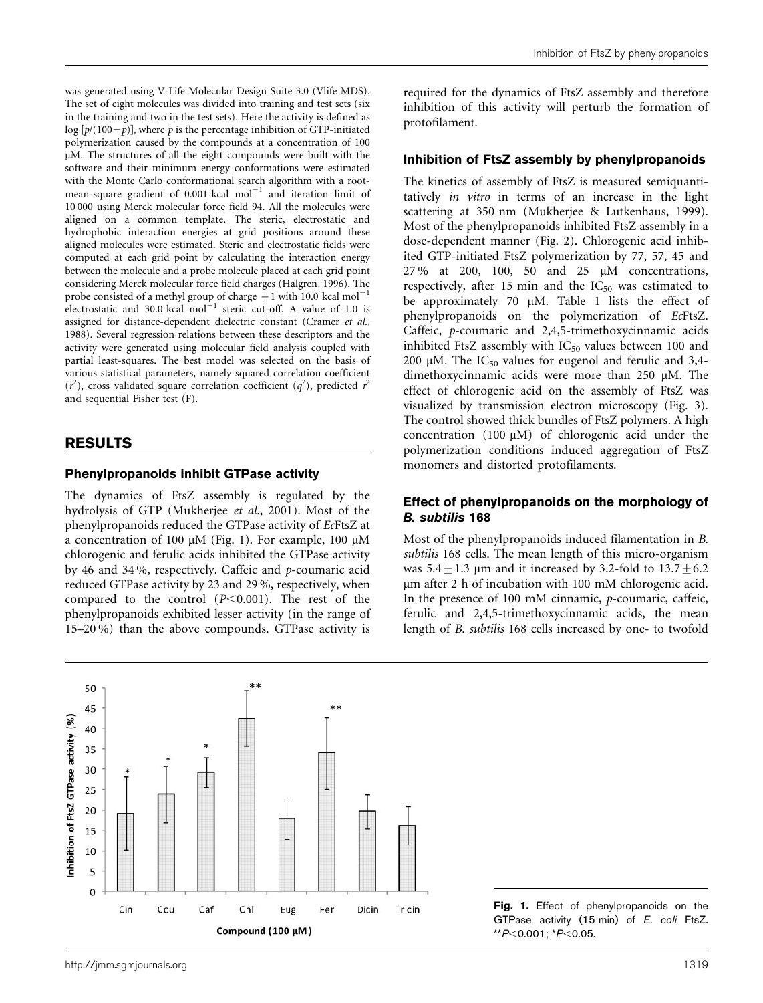was generated using V-Life Molecular Design Suite 3.0 (Vlife MDS). The set of eight molecules was divided into training and test sets (six in the training and two in the test sets). Here the activity is defined as  $log [p/(100-p)]$ , where p is the percentage inhibition of GTP-initiated polymerization caused by the compounds at a concentration of 100 uM. The structures of all the eight compounds were built with the software and their minimum energy conformations were estimated with the Monte Carlo conformational search algorithm with a rootmean-square gradient of 0.001 kcal mol<sup>-1</sup> and iteration limit of 10 000 using Merck molecular force field 94. All the molecules were aligned on a common template. The steric, electrostatic and hydrophobic interaction energies at grid positions around these aligned molecules were estimated. Steric and electrostatic fields were computed at each grid point by calculating the interaction energy between the molecule and a probe molecule placed at each grid point considering Merck molecular force field charges [\(Halgren, 1996](#page-7-0)). The probe consisted of a methyl group of charge  $+1$  with 10.0 kcal mol<sup>-1</sup> electrostatic and 30.0 kcal  $\text{mol}^{-1}$  steric cut-off. A value of 1.0 is assigned for distance-dependent dielectric constant [\(Cramer](#page-7-0) et al., [1988](#page-7-0)). Several regression relations between these descriptors and the activity were generated using molecular field analysis coupled with partial least-squares. The best model was selected on the basis of various statistical parameters, namely squared correlation coefficient  $(r^2)$ , cross validated square correlation coefficient  $(q^2)$ , predicted  $r^2$ and sequential Fisher test (F).

# RESULTS

#### Phenylpropanoids inhibit GTPase activity

The dynamics of FtsZ assembly is regulated by the hydrolysis of GTP ([Mukherjee](#page-7-0) et al., 2001). Most of the phenylpropanoids reduced the GTPase activity of EcFtsZ at a concentration of 100  $\mu$ M (Fig. 1). For example, 100  $\mu$ M chlorogenic and ferulic acids inhibited the GTPase activity by 46 and 34 %, respectively. Caffeic and p-coumaric acid reduced GTPase activity by 23 and 29 %, respectively, when compared to the control  $(P<0.001)$ . The rest of the phenylpropanoids exhibited lesser activity (in the range of 15–20 %) than the above compounds. GTPase activity is required for the dynamics of FtsZ assembly and therefore inhibition of this activity will perturb the formation of protofilament.

#### Inhibition of FtsZ assembly by phenylpropanoids

The kinetics of assembly of FtsZ is measured semiquantitatively in vitro in terms of an increase in the light scattering at 350 nm [\(Mukherjee & Lutkenhaus, 1999\)](#page-7-0). Most of the phenylpropanoids inhibited FtsZ assembly in a dose-dependent manner [\(Fig. 2\)](#page-3-0). Chlorogenic acid inhibited GTP-initiated FtsZ polymerization by 77, 57, 45 and 27 % at 200, 100, 50 and 25 mM concentrations, respectively, after 15 min and the  $IC_{50}$  was estimated to be approximately 70 µM. [Table 1](#page-4-0) lists the effect of phenylpropanoids on the polymerization of EcFtsZ. Caffeic, p-coumaric and 2,4,5-trimethoxycinnamic acids inhibited FtsZ assembly with  $IC_{50}$  values between 100 and 200 µM. The  $IC_{50}$  values for eugenol and ferulic and 3,4dimethoxycinnamic acids were more than 250 µM. The effect of chlorogenic acid on the assembly of FtsZ was visualized by transmission electron microscopy [\(Fig. 3\)](#page-5-0). The control showed thick bundles of FtsZ polymers. A high concentration  $(100 \mu M)$  of chlorogenic acid under the polymerization conditions induced aggregation of FtsZ monomers and distorted protofilaments.

#### Effect of phenylpropanoids on the morphology of B. subtilis 168

Most of the phenylpropanoids induced filamentation in B. subtilis 168 cells. The mean length of this micro-organism was  $5.4 \pm 1.3$  µm and it increased by 3.2-fold to  $13.7 \pm 6.2$ mm after 2 h of incubation with 100 mM chlorogenic acid. In the presence of 100 mM cinnamic, p-coumaric, caffeic, ferulic and 2,4,5-trimethoxycinnamic acids, the mean length of B. subtilis 168 cells increased by one- to twofold



Fig. 1. Effect of phenylpropanoids on the GTPase activity (15 min) of E. coli FtsZ.  $*$  $P<$ 0.001;  $*$ P $<$ 0.05.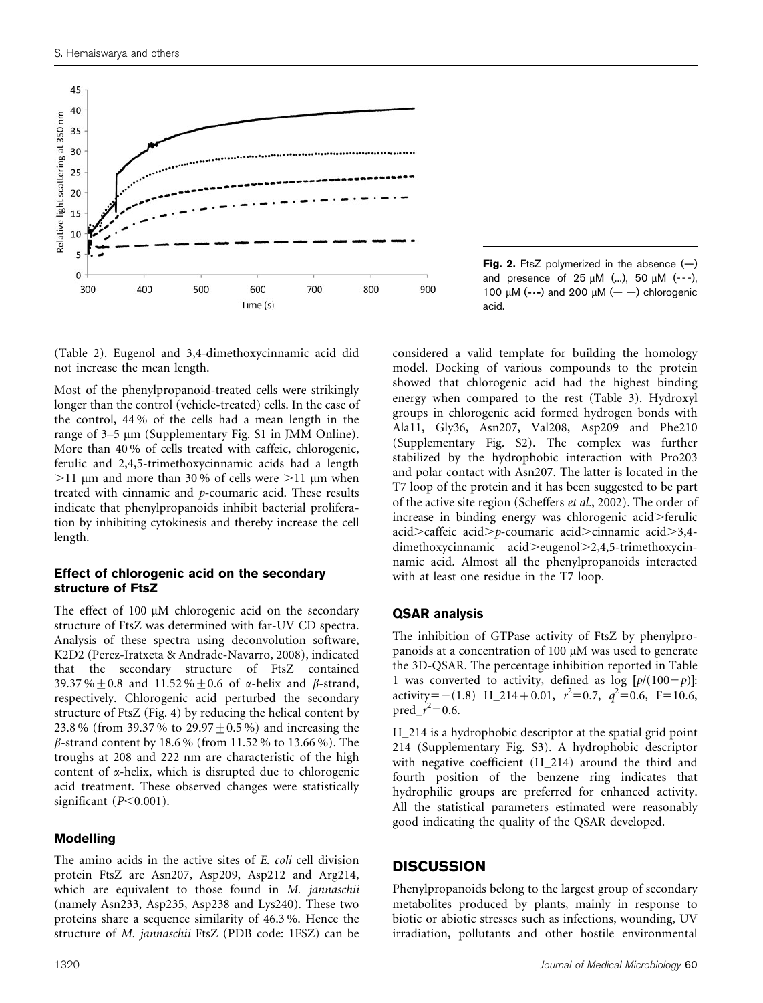<span id="page-3-0"></span>

Fig. 2. FtsZ polymerized in the absence  $(-)$ and presence of  $25 \mu M$  (...),  $50 \mu M$  (---), 100  $\mu$ M (- $\cdot$ -) and 200  $\mu$ M (- $\cdot$ ) chlorogenic acid.

[\(Table 2\)](#page-5-0). Eugenol and 3,4-dimethoxycinnamic acid did not increase the mean length.

Most of the phenylpropanoid-treated cells were strikingly longer than the control (vehicle-treated) cells. In the case of the control, 44 % of the cells had a mean length in the range of 3–5  $\mu$ m (Supplementary Fig. S1 in JMM Online). More than 40 % of cells treated with caffeic, chlorogenic, ferulic and 2,4,5-trimethoxycinnamic acids had a length  $>$ 11 µm and more than 30% of cells were  $>$ 11 µm when treated with cinnamic and p-coumaric acid. These results indicate that phenylpropanoids inhibit bacterial proliferation by inhibiting cytokinesis and thereby increase the cell length.

## Effect of chlorogenic acid on the secondary structure of FtsZ

The effect of 100  $\mu$ M chlorogenic acid on the secondary structure of FtsZ was determined with far-UV CD spectra. Analysis of these spectra using deconvolution software, K2D2 ([Perez-Iratxeta & Andrade-Navarro, 2008\)](#page-7-0), indicated that the secondary structure of FtsZ contained 39.37%  $\pm$  0.8 and 11.52%  $\pm$  0.6 of  $\alpha$ -helix and  $\beta$ -strand, respectively. Chlorogenic acid perturbed the secondary structure of FtsZ ([Fig. 4\)](#page-6-0) by reducing the helical content by 23.8 % (from 39.37 % to 29.97 + 0.5 %) and increasing the  $\beta$ -strand content by 18.6% (from 11.52% to 13.66%). The troughs at 208 and 222 nm are characteristic of the high content of  $\alpha$ -helix, which is disrupted due to chlorogenic acid treatment. These observed changes were statistically significant  $(P<0.001)$ .

## Modelling

The amino acids in the active sites of E. coli cell division protein FtsZ are Asn207, Asp209, Asp212 and Arg214, which are equivalent to those found in M. jannaschii (namely Asn233, Asp235, Asp238 and Lys240). These two proteins share a sequence similarity of 46.3 %. Hence the structure of M. jannaschii FtsZ (PDB code: 1FSZ) can be

considered a valid template for building the homology model. Docking of various compounds to the protein showed that chlorogenic acid had the highest binding energy when compared to the rest ([Table 3](#page-6-0)). Hydroxyl groups in chlorogenic acid formed hydrogen bonds with Ala11, Gly36, Asn207, Val208, Asp209 and Phe210 (Supplementary Fig. S2). The complex was further stabilized by the hydrophobic interaction with Pro203 and polar contact with Asn207. The latter is located in the T7 loop of the protein and it has been suggested to be part of the active site region ([Scheffers](#page-7-0) et al., 2002). The order of increase in binding energy was chlorogenic acid>ferulic acid $>$ caffeic acid $> p$ -coumaric acid $>$ cinnamic acid $>$ 3,4dimethoxycinnamic acid>eugenol>2,4,5-trimethoxycinnamic acid. Almost all the phenylpropanoids interacted with at least one residue in the T7 loop.

## QSAR analysis

The inhibition of GTPase activity of FtsZ by phenylpropanoids at a concentration of 100  $\mu$ M was used to generate the 3D-QSAR. The percentage inhibition reported in [Table](#page-4-0) [1](#page-4-0) was converted to activity, defined as  $log [p/(100-p)]$ : activity=-(1.8) H\_214+0.01,  $r^2=0.7$ ,  $q^2=0.6$ , F=10.6,  $pred_1^2 = 0.6$ .

H\_214 is a hydrophobic descriptor at the spatial grid point 214 (Supplementary Fig. S3). A hydrophobic descriptor with negative coefficient (H\_214) around the third and fourth position of the benzene ring indicates that hydrophilic groups are preferred for enhanced activity. All the statistical parameters estimated were reasonably good indicating the quality of the QSAR developed.

## **DISCUSSION**

Phenylpropanoids belong to the largest group of secondary metabolites produced by plants, mainly in response to biotic or abiotic stresses such as infections, wounding, UV irradiation, pollutants and other hostile environmental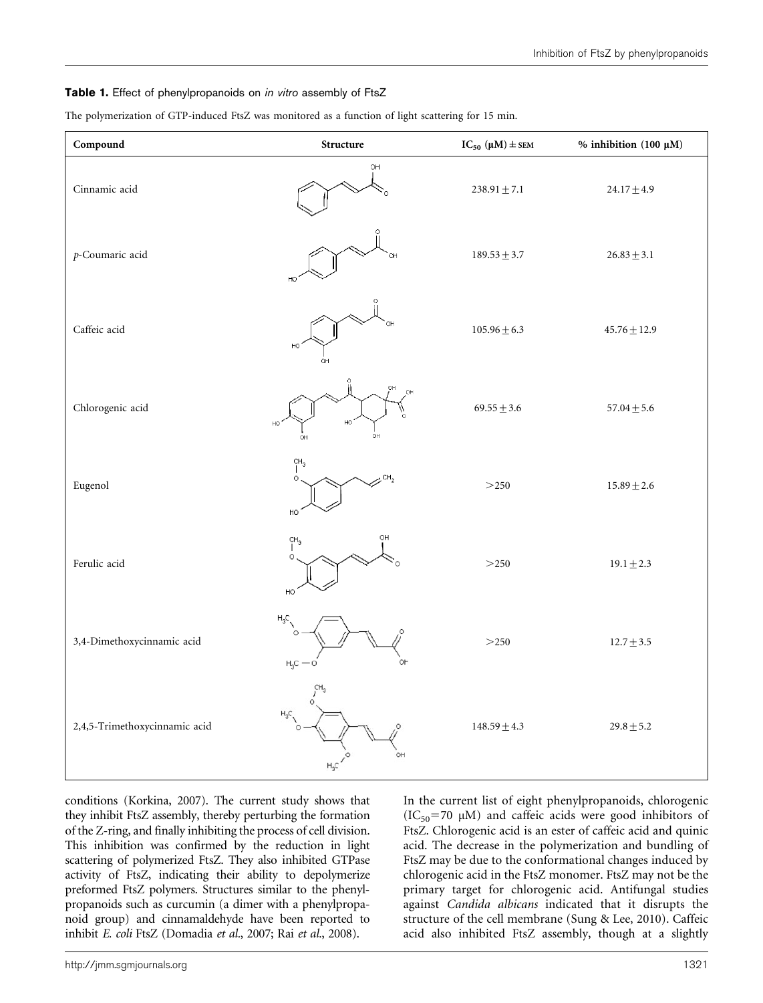#### <span id="page-4-0"></span>Table 1. Effect of phenylpropanoids on in vitro assembly of FtsZ

The polymerization of GTP-induced FtsZ was monitored as a function of light scattering for 15 min.

| Compound                      | Structure                                    | $IC_{50} (\mu M) \pm$ SEM | % inhibition (100 $\mu$ M) |
|-------------------------------|----------------------------------------------|---------------------------|----------------------------|
| Cinnamic acid                 | OH                                           | $238.91 \pm 7.1$          | $24.17 \pm 4.9$            |
| p-Coumaric acid               |                                              | $189.53 \pm 3.7$          | $26.83 \pm 3.1$            |
| Caffeic acid                  | HC<br>OH                                     | $105.96 \pm 6.3$          | $45.76 \pm 12.9$           |
| Chlorogenic acid              | OH<br>HO<br>HO<br>OН                         | $69.55 \pm 3.6$           | $57.04 \pm 5.6$            |
| Eugenol                       | CH <sub>3</sub><br>CH <sub>2</sub><br>HO     | $>250$                    | $15.89 \pm 2.6$            |
| Ferulic acid                  | OH<br>CH <sub>3</sub><br>O<br>HO             | $>250$                    | $19.1 \pm 2.3$             |
| 3,4-Dimethoxycinnamic acid    | $\mathsf{H}_3\mathsf{C}$<br>$H_3C - O$<br>OΗ | $>250$                    | $12.7 \pm 3.5$             |
| 2,4,5-Trimethoxycinnamic acid | OН<br>$H_3C$                                 | $148.59\pm4.3$            | $29.8 \pm 5.2$             |

conditions [\(Korkina, 2007\)](#page-7-0). The current study shows that they inhibit FtsZ assembly, thereby perturbing the formation of the Z-ring, and finally inhibiting the process of cell division. This inhibition was confirmed by the reduction in light scattering of polymerized FtsZ. They also inhibited GTPase activity of FtsZ, indicating their ability to depolymerize preformed FtsZ polymers. Structures similar to the phenylpropanoids such as curcumin (a dimer with a phenylpropanoid group) and cinnamaldehyde have been reported to inhibit E. coli FtsZ ([Domadia](#page-7-0) et al., 2007; Rai et al.[, 2008\)](#page-7-0).

In the current list of eight phenylpropanoids, chlorogenic  $(IC_{50} = 70 \mu M)$  and caffeic acids were good inhibitors of FtsZ. Chlorogenic acid is an ester of caffeic acid and quinic acid. The decrease in the polymerization and bundling of FtsZ may be due to the conformational changes induced by chlorogenic acid in the FtsZ monomer. FtsZ may not be the primary target for chlorogenic acid. Antifungal studies against Candida albicans indicated that it disrupts the structure of the cell membrane ([Sung & Lee, 2010](#page-8-0)). Caffeic acid also inhibited FtsZ assembly, though at a slightly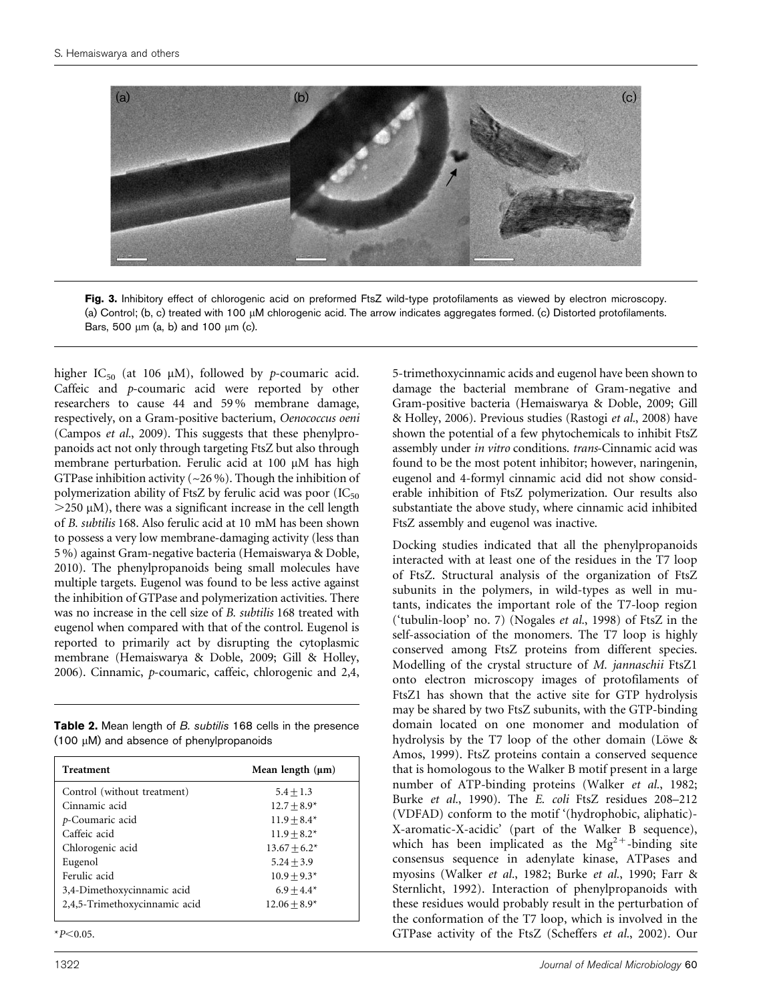<span id="page-5-0"></span>

Fig. 3. Inhibitory effect of chlorogenic acid on preformed FtsZ wild-type protofilaments as viewed by electron microscopy. (a) Control; (b, c) treated with 100  $\mu$ M chlorogenic acid. The arrow indicates aggregates formed. (c) Distorted protofilaments. Bars, 500  $\mu$ m (a, b) and 100  $\mu$ m (c).

higher IC<sub>50</sub> (at 106  $\mu$ M), followed by *p*-coumaric acid. Caffeic and p-coumaric acid were reported by other researchers to cause 44 and 59 % membrane damage, respectively, on a Gram-positive bacterium, Oenococcus oeni [\(Campos](#page-7-0) et al., 2009). This suggests that these phenylpropanoids act not only through targeting FtsZ but also through membrane perturbation. Ferulic acid at 100 µM has high GTPase inhibition activity ( $\sim$ 26 %). Though the inhibition of polymerization ability of FtsZ by ferulic acid was poor  $(IC_{50})$  $>$ 250  $\mu$ M), there was a significant increase in the cell length of B. subtilis 168. Also ferulic acid at 10 mM has been shown to possess a very low membrane-damaging activity (less than 5 %) against Gram-negative bacteria ([Hemaiswarya & Doble,](#page-7-0) [2010](#page-7-0)). The phenylpropanoids being small molecules have multiple targets. Eugenol was found to be less active against the inhibition of GTPase and polymerization activities. There was no increase in the cell size of B. subtilis 168 treated with eugenol when compared with that of the control. Eugenol is reported to primarily act by disrupting the cytoplasmic membrane [\(Hemaiswarya & Doble, 2009; Gill & Holley,](#page-7-0) [2006](#page-7-0)). Cinnamic, p-coumaric, caffeic, chlorogenic and 2,4,

Table 2. Mean length of B. subtilis 168 cells in the presence  $(100 \mu M)$  and absence of phenylpropanoids

| <b>Treatment</b>              | Mean length $(\mu m)$ |
|-------------------------------|-----------------------|
| Control (without treatment)   | $5.4 + 1.3$           |
| Cinnamic acid                 | $12.7 + 8.9*$         |
| p-Coumaric acid               | $11.9 + 8.4*$         |
| Caffeic acid                  | $11.9 + 8.2*$         |
| Chlorogenic acid              | $13.67 + 6.2*$        |
| Eugenol                       | $5.24 + 3.9$          |
| Ferulic acid                  | $10.9 + 9.3*$         |
| 3,4-Dimethoxycinnamic acid    | $6.9 + 4.4*$          |
| 2,4,5-Trimethoxycinnamic acid | $12.06 + 8.9*$        |

 $*P<0.05$ .

5-trimethoxycinnamic acids and eugenol have been shown to damage the bacterial membrane of Gram-negative and Gram-positive bacteria [\(Hemaiswarya & Doble, 2009; Gill](#page-7-0) [& Holley, 2006\)](#page-7-0). Previous studies [\(Rastogi](#page-7-0) et al., 2008) have shown the potential of a few phytochemicals to inhibit FtsZ assembly under in vitro conditions. trans-Cinnamic acid was found to be the most potent inhibitor; however, naringenin, eugenol and 4-formyl cinnamic acid did not show considerable inhibition of FtsZ polymerization. Our results also substantiate the above study, where cinnamic acid inhibited FtsZ assembly and eugenol was inactive.

Docking studies indicated that all the phenylpropanoids interacted with at least one of the residues in the T7 loop of FtsZ. Structural analysis of the organization of FtsZ subunits in the polymers, in wild-types as well in mutants, indicates the important role of the T7-loop region ('tubulin-loop' no. 7) ([Nogales](#page-7-0) et al., 1998) of FtsZ in the self-association of the monomers. The T7 loop is highly conserved among FtsZ proteins from different species. Modelling of the crystal structure of M. jannaschii FtsZ1 onto electron microscopy images of protofilaments of FtsZ1 has shown that the active site for GTP hydrolysis may be shared by two FtsZ subunits, with the GTP-binding domain located on one monomer and modulation of hydrolysis by the T7 loop of the other domain (Löwe & [Amos, 1999\)](#page-7-0). FtsZ proteins contain a conserved sequence that is homologous to the Walker B motif present in a large number of ATP-binding proteins [\(Walker](#page-8-0) et al., 1982; Burke et al.[, 1990\)](#page-7-0). The E. coli FtsZ residues 208–212 (VDFAD) conform to the motif '(hydrophobic, aliphatic)- X-aromatic-X-acidic' (part of the Walker B sequence), which has been implicated as the  $Mg^{2+}$ -binding site consensus sequence in adenylate kinase, ATPases and myosins ([Walker](#page-8-0) et al., 1982; Burke et al.[, 1990; Farr &](#page-7-0) [Sternlicht, 1992](#page-7-0)). Interaction of phenylpropanoids with these residues would probably result in the perturbation of the conformation of the T7 loop, which is involved in the GTPase activity of the FtsZ ([Scheffers](#page-7-0) et al., 2002). Our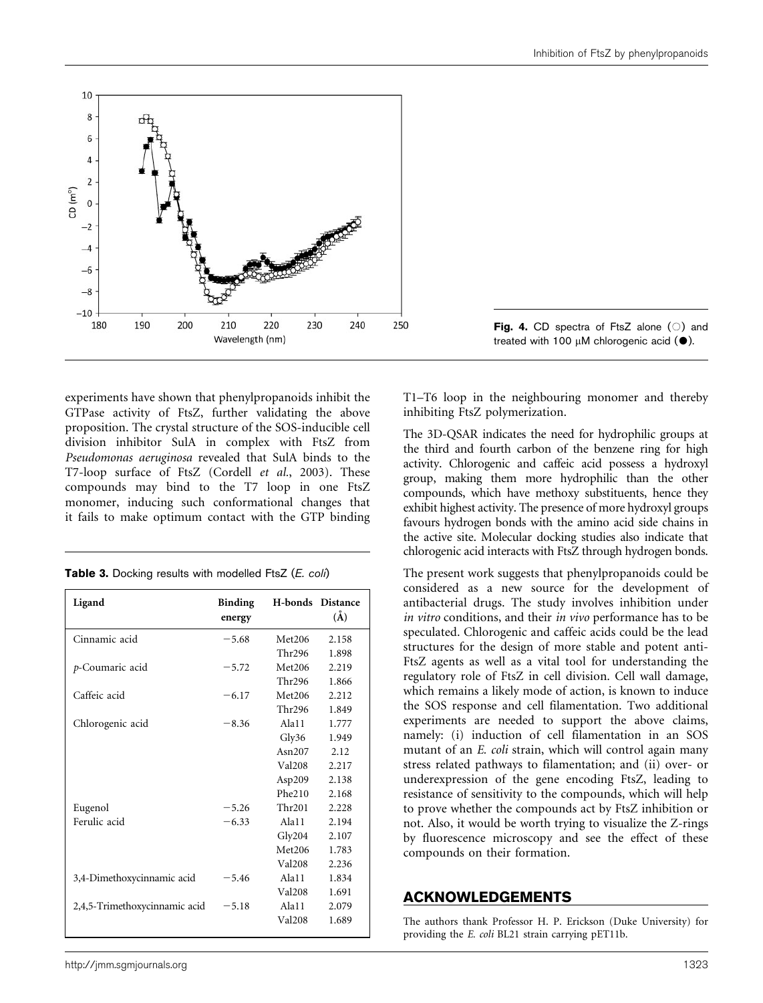<span id="page-6-0"></span>

experiments have shown that phenylpropanoids inhibit the GTPase activity of FtsZ, further validating the above proposition. The crystal structure of the SOS-inducible cell division inhibitor SulA in complex with FtsZ from Pseudomonas aeruginosa revealed that SulA binds to the T7-loop surface of FtsZ ([Cordell](#page-7-0) et al., 2003). These compounds may bind to the T7 loop in one FtsZ monomer, inducing such conformational changes that it fails to make optimum contact with the GTP binding

|  |  |  |  | Table 3. Docking results with modelled FtsZ (E. coli) |  |  |  |
|--|--|--|--|-------------------------------------------------------|--|--|--|
|--|--|--|--|-------------------------------------------------------|--|--|--|

| Ligand                        | <b>Binding</b><br>energy | <b>H-bonds</b> Distance | $(\check{A})$ |
|-------------------------------|--------------------------|-------------------------|---------------|
| Cinnamic acid                 | $-5.68$                  | Met206                  | 2.158         |
|                               |                          | Thr296                  | 1.898         |
| p-Coumaric acid               | $-5.72$                  | Met206                  | 2.219         |
|                               |                          | <b>Thr296</b>           | 1.866         |
| Caffeic acid                  | $-6.17$                  | Met206                  | 2.212         |
|                               |                          | Thr296                  | 1.849         |
| Chlorogenic acid              | $-8.36$                  | Ala11                   | 1.777         |
|                               |                          | Gly36                   | 1.949         |
|                               |                          | Asn207                  | 2.12          |
|                               |                          | <b>Val208</b>           | 2.217         |
|                               |                          | Asp209                  | 2.138         |
|                               |                          | Phe210                  | 2.168         |
| Eugenol                       | $-5.26$                  | Thr201                  | 2.228         |
| Ferulic acid                  | $-6.33$                  | Ala11                   | 2.194         |
|                               |                          | Gly204                  | 2.107         |
|                               |                          | Met206                  | 1.783         |
|                               |                          | <b>Val208</b>           | 2.236         |
| 3,4-Dimethoxycinnamic acid    | $-5.46$                  | Ala11                   | 1.834         |
|                               |                          | <b>Val208</b>           | 1.691         |
| 2,4,5-Trimethoxycinnamic acid | $-5.18$                  | Ala11                   | 2.079         |
|                               |                          | <b>Val208</b>           | 1.689         |
|                               |                          |                         |               |

T1–T6 loop in the neighbouring monomer and thereby inhibiting FtsZ polymerization.

The 3D-QSAR indicates the need for hydrophilic groups at the third and fourth carbon of the benzene ring for high activity. Chlorogenic and caffeic acid possess a hydroxyl group, making them more hydrophilic than the other compounds, which have methoxy substituents, hence they exhibit highest activity. The presence of more hydroxyl groups favours hydrogen bonds with the amino acid side chains in the active site. Molecular docking studies also indicate that chlorogenic acid interacts with FtsZ through hydrogen bonds.

The present work suggests that phenylpropanoids could be considered as a new source for the development of antibacterial drugs. The study involves inhibition under in vitro conditions, and their in vivo performance has to be speculated. Chlorogenic and caffeic acids could be the lead structures for the design of more stable and potent anti-FtsZ agents as well as a vital tool for understanding the regulatory role of FtsZ in cell division. Cell wall damage, which remains a likely mode of action, is known to induce the SOS response and cell filamentation. Two additional experiments are needed to support the above claims, namely: (i) induction of cell filamentation in an SOS mutant of an E. coli strain, which will control again many stress related pathways to filamentation; and (ii) over- or underexpression of the gene encoding FtsZ, leading to resistance of sensitivity to the compounds, which will help to prove whether the compounds act by FtsZ inhibition or not. Also, it would be worth trying to visualize the Z-rings by fluorescence microscopy and see the effect of these compounds on their formation.

## ACKNOWLEDGEMENTS

The authors thank Professor H. P. Erickson (Duke University) for providing the E. coli BL21 strain carrying pET11b.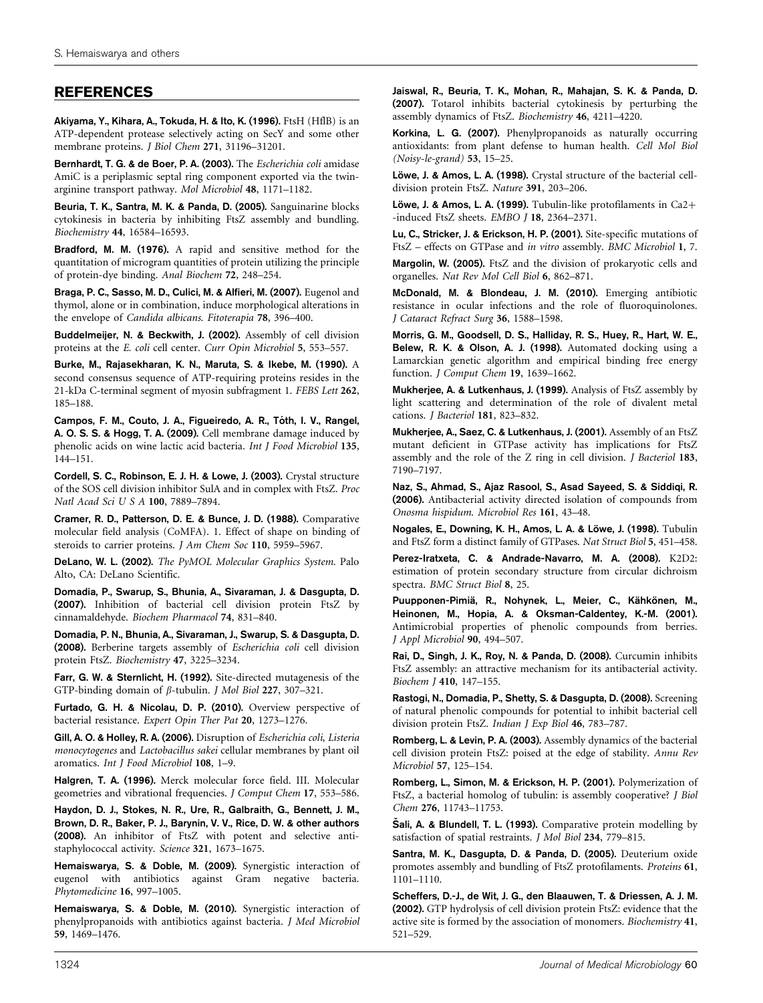# <span id="page-7-0"></span>REFERENCES

Akiyama, Y., Kihara, A., Tokuda, H. & Ito, K. (1996). FtsH (HflB) is an ATP-dependent protease selectively acting on SecY and some other membrane proteins. J Biol Chem 271, 31196–31201.

Bernhardt, T. G. & de Boer, P. A. (2003). The Escherichia coli amidase AmiC is a periplasmic septal ring component exported via the twinarginine transport pathway. Mol Microbiol 48, 1171–1182.

Beuria, T. K., Santra, M. K. & Panda, D. (2005). Sanguinarine blocks cytokinesis in bacteria by inhibiting FtsZ assembly and bundling. Biochemistry 44, 16584–16593.

Bradford, M. M. (1976). A rapid and sensitive method for the quantitation of microgram quantities of protein utilizing the principle of protein-dye binding. Anal Biochem 72, 248–254.

Braga, P. C., Sasso, M. D., Culici, M. & Alfieri, M. (2007). Eugenol and thymol, alone or in combination, induce morphological alterations in the envelope of Candida albicans. Fitoterapia 78, 396–400.

Buddelmeijer, N. & Beckwith, J. (2002). Assembly of cell division proteins at the E. coli cell center. Curr Opin Microbiol 5, 553–557.

Burke, M., Rajasekharan, K. N., Maruta, S. & Ikebe, M. (1990). A second consensus sequence of ATP-requiring proteins resides in the 21-kDa C-terminal segment of myosin subfragment 1. FEBS Lett 262, 185–188.

Campos, F. M., Couto, J. A., Figueiredo, A. R., Tóth, I. V., Rangel, A. O. S. S. & Hogg, T. A. (2009). Cell membrane damage induced by phenolic acids on wine lactic acid bacteria. Int J Food Microbiol 135, 144–151.

Cordell, S. C., Robinson, E. J. H. & Lowe, J. (2003). Crystal structure of the SOS cell division inhibitor SulA and in complex with FtsZ. Proc Natl Acad Sci U S A 100, 7889–7894.

Cramer, R. D., Patterson, D. E. & Bunce, J. D. (1988). Comparative molecular field analysis (CoMFA). 1. Effect of shape on binding of steroids to carrier proteins. J Am Chem Soc 110, 5959–5967.

DeLano, W. L. (2002). The PyMOL Molecular Graphics System. Palo Alto, CA: DeLano Scientific.

Domadia, P., Swarup, S., Bhunia, A., Sivaraman, J. & Dasgupta, D. (2007). Inhibition of bacterial cell division protein FtsZ by cinnamaldehyde. Biochem Pharmacol 74, 831–840.

Domadia, P. N., Bhunia, A., Sivaraman, J., Swarup, S. & Dasgupta, D. (2008). Berberine targets assembly of Escherichia coli cell division protein FtsZ. Biochemistry 47, 3225–3234.

Farr, G. W. & Sternlicht, H. (1992). Site-directed mutagenesis of the GTP-binding domain of  $\beta$ -tubulin. *J Mol Biol* 227, 307-321.

Furtado, G. H. & Nicolau, D. P. (2010). Overview perspective of bacterial resistance. Expert Opin Ther Pat 20, 1273–1276.

Gill, A. O. & Holley, R. A. (2006). Disruption of Escherichia coli, Listeria monocytogenes and Lactobacillus sakei cellular membranes by plant oil aromatics. Int J Food Microbiol 108, 1–9.

Halgren, T. A. (1996). Merck molecular force field. III. Molecular geometries and vibrational frequencies. J Comput Chem 17, 553–586.

Haydon, D. J., Stokes, N. R., Ure, R., Galbraith, G., Bennett, J. M., Brown, D. R., Baker, P. J., Barynin, V. V., Rice, D. W. & other authors (2008). An inhibitor of FtsZ with potent and selective antistaphylococcal activity. Science 321, 1673–1675.

Hemaiswarya, S. & Doble, M. (2009). Synergistic interaction of eugenol with antibiotics against Gram negative bacteria. Phytomedicine 16, 997–1005.

Hemaiswarya, S. & Doble, M. (2010). Synergistic interaction of phenylpropanoids with antibiotics against bacteria. J Med Microbiol 59, 1469–1476.

Jaiswal, R., Beuria, T. K., Mohan, R., Mahajan, S. K. & Panda, D. (2007). Totarol inhibits bacterial cytokinesis by perturbing the assembly dynamics of FtsZ. Biochemistry 46, 4211–4220.

Korkina, L. G. (2007). Phenylpropanoids as naturally occurring antioxidants: from plant defense to human health. Cell Mol Biol (Noisy-le-grand) 53, 15–25.

Löwe, J. & Amos, L. A. (1998). Crystal structure of the bacterial celldivision protein FtsZ. Nature 391, 203–206.

Löwe, J. & Amos, L. A. (1999). Tubulin-like protofilaments in  $Ca2+$ -induced FtsZ sheets. EMBO J 18, 2364-2371.

Lu, C., Stricker, J. & Erickson, H. P. (2001). Site-specific mutations of FtsZ – effects on GTPase and in vitro assembly. BMC Microbiol 1, 7.

Margolin, W. (2005). FtsZ and the division of prokaryotic cells and organelles. Nat Rev Mol Cell Biol 6, 862–871.

McDonald, M. & Blondeau, J. M. (2010). Emerging antibiotic resistance in ocular infections and the role of fluoroquinolones. J Cataract Refract Surg 36, 1588–1598.

Morris, G. M., Goodsell, D. S., Halliday, R. S., Huey, R., Hart, W. E., Belew, R. K. & Olson, A. J. (1998). Automated docking using a Lamarckian genetic algorithm and empirical binding free energy function. J Comput Chem 19, 1639–1662.

Mukherjee, A. & Lutkenhaus, J. (1999). Analysis of FtsZ assembly by light scattering and determination of the role of divalent metal cations. J Bacteriol 181, 823–832.

Mukherjee, A., Saez, C. & Lutkenhaus, J. (2001). Assembly of an FtsZ mutant deficient in GTPase activity has implications for FtsZ assembly and the role of the Z ring in cell division. J Bacteriol 183, 7190–7197.

Naz, S., Ahmad, S., Ajaz Rasool, S., Asad Sayeed, S. & Siddiqi, R. (2006). Antibacterial activity directed isolation of compounds from Onosma hispidum. Microbiol Res 161, 43–48.

Nogales, E., Downing, K. H., Amos, L. A. & Löwe, J. (1998). Tubulin and FtsZ form a distinct family of GTPases. Nat Struct Biol 5, 451–458.

Perez-Iratxeta, C. & Andrade-Navarro, M. A. (2008). K2D2: estimation of protein secondary structure from circular dichroism spectra. BMC Struct Biol 8, 25.

Puupponen-Pimiä, R., Nohynek, L., Meier, C., Kähkönen, M., Heinonen, M., Hopia, A. & Oksman-Caldentey, K.-M. (2001). Antimicrobial properties of phenolic compounds from berries. J Appl Microbiol 90, 494–507.

Rai, D., Singh, J. K., Roy, N. & Panda, D. (2008). Curcumin inhibits FtsZ assembly: an attractive mechanism for its antibacterial activity. Biochem J 410, 147–155.

Rastogi, N., Domadia, P., Shetty, S. & Dasgupta, D. (2008). Screening of natural phenolic compounds for potential to inhibit bacterial cell division protein FtsZ. Indian J Exp Biol 46, 783–787.

Romberg, L. & Levin, P. A. (2003). Assembly dynamics of the bacterial cell division protein FtsZ: poised at the edge of stability. Annu Rev Microbiol 57, 125–154.

Romberg, L., Simon, M. & Erickson, H. P. (2001). Polymerization of FtsZ, a bacterial homolog of tubulin: is assembly cooperative? J Biol Chem 276, 11743–11753.

Šali, A. & Blundell, T. L. (1993). Comparative protein modelling by satisfaction of spatial restraints. J Mol Biol 234, 779–815.

Santra, M. K., Dasgupta, D. & Panda, D. (2005). Deuterium oxide promotes assembly and bundling of FtsZ protofilaments. Proteins 61, 1101–1110.

Scheffers, D.-J., de Wit, J. G., den Blaauwen, T. & Driessen, A. J. M. (2002). GTP hydrolysis of cell division protein FtsZ: evidence that the active site is formed by the association of monomers. Biochemistry 41, 521–529.